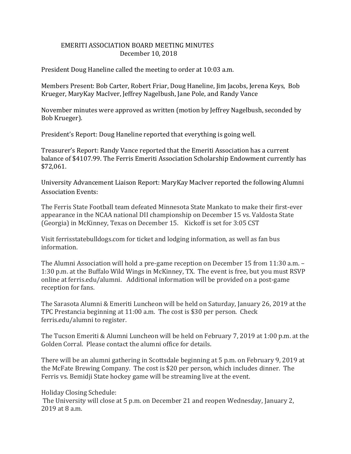## EMERITI ASSOCIATION BOARD MEETING MINUTES December 10, 2018

President Doug Haneline called the meeting to order at 10:03 a.m.

Members Present: Bob Carter, Robert Friar, Doug Haneline, Jim Jacobs, Jerena Keys, Bob Krueger, MaryKay MacIver, Jeffrey Nagelbush, Jane Pole, and Randy Vance

November minutes were approved as written (motion by Jeffrey Nagelbush, seconded by Bob Krueger).

President's Report: Doug Haneline reported that everything is going well.

Treasurer's Report: Randy Vance reported that the Emeriti Association has a current balance of \$4107.99. The Ferris Emeriti Association Scholarship Endowment currently has \$72,061.

University Advancement Liaison Report: MaryKay MacIver reported the following Alumni Association Events:

The Ferris State Football team defeated Minnesota State Mankato to make their first-ever appearance in the NCAA national DII championship on December 15 vs. Valdosta State (Georgia) in McKinney, Texas on December 15. Kickoff is set for 3:05 CST

Visit ferrisstatebulldogs.com for ticket and lodging information, as well as fan bus information.

The Alumni Association will hold a pre-game reception on December 15 from 11:30 a.m. – 1:30 p.m. at the Buffalo Wild Wings in McKinney, TX. The event is free, but you must RSVP online at ferris.edu/alumni. Additional information will be provided on a post-game reception for fans.

The Sarasota Alumni & Emeriti Luncheon will be held on Saturday, January 26, 2019 at the TPC Prestancia beginning at 11:00 a.m. The cost is \$30 per person. Check ferris.edu/alumni to register.

The Tucson Emeriti & Alumni Luncheon will be held on February 7, 2019 at 1:00 p.m. at the Golden Corral. Please contact the alumni office for details.

There will be an alumni gathering in Scottsdale beginning at 5 p.m. on February 9, 2019 at the McFate Brewing Company. The cost is \$20 per person, which includes dinner. The Ferris vs. Bemidji State hockey game will be streaming live at the event.

Holiday Closing Schedule:

The University will close at 5 p.m. on December 21 and reopen Wednesday, January 2, 2019 at 8 a.m.